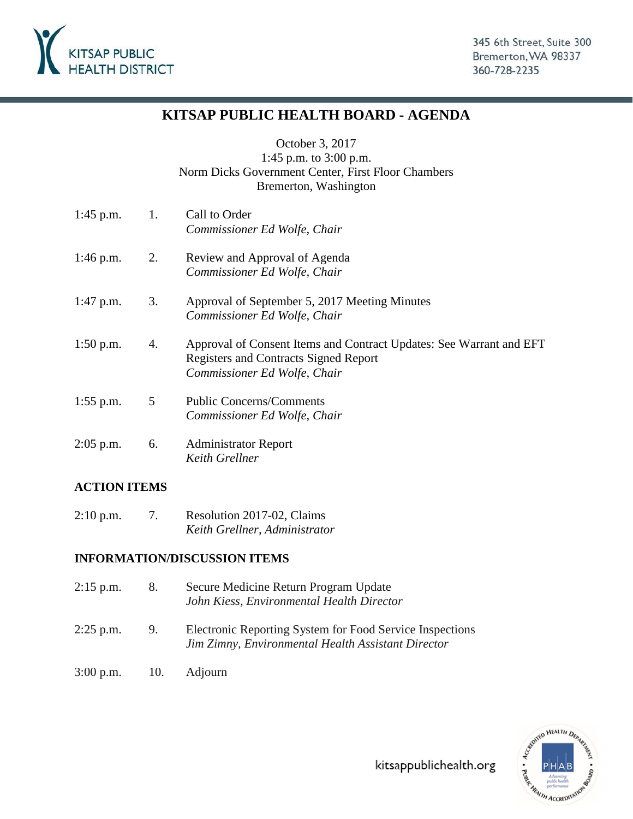

### **KITSAP PUBLIC HEALTH BOARD - AGENDA**

October 3, 2017

1:45 p.m. to 3:00 p.m. Norm Dicks Government Center, First Floor Chambers Bremerton, Washington

| $1:45$ p.m. | 1. | Call to Order<br>Commissioner Ed Wolfe, Chair                                                                                                       |
|-------------|----|-----------------------------------------------------------------------------------------------------------------------------------------------------|
| $1:46$ p.m. | 2. | Review and Approval of Agenda<br>Commissioner Ed Wolfe, Chair                                                                                       |
| $1:47$ p.m. | 3. | Approval of September 5, 2017 Meeting Minutes<br>Commissioner Ed Wolfe, Chair                                                                       |
| $1:50$ p.m. | 4. | Approval of Consent Items and Contract Updates: See Warrant and EFT<br><b>Registers and Contracts Signed Report</b><br>Commissioner Ed Wolfe, Chair |
| $1:55$ p.m. | 5  | <b>Public Concerns/Comments</b><br>Commissioner Ed Wolfe, Chair                                                                                     |
| $2:05$ p.m. | 6. | <b>Administrator Report</b><br>Keith Grellner                                                                                                       |

### **ACTION ITEMS**

2:10 p.m. 7. Resolution 2017-02, Claims *Keith Grellner, Administrator*

### **INFORMATION/DISCUSSION ITEMS**

- 2:15 p.m. 8. Secure Medicine Return Program Update *John Kiess, Environmental Health Director*
- 2:25 p.m. 9. Electronic Reporting System for Food Service Inspections *Jim Zimny, Environmental Health Assistant Director*
- 3:00 p.m. 10. Adjourn

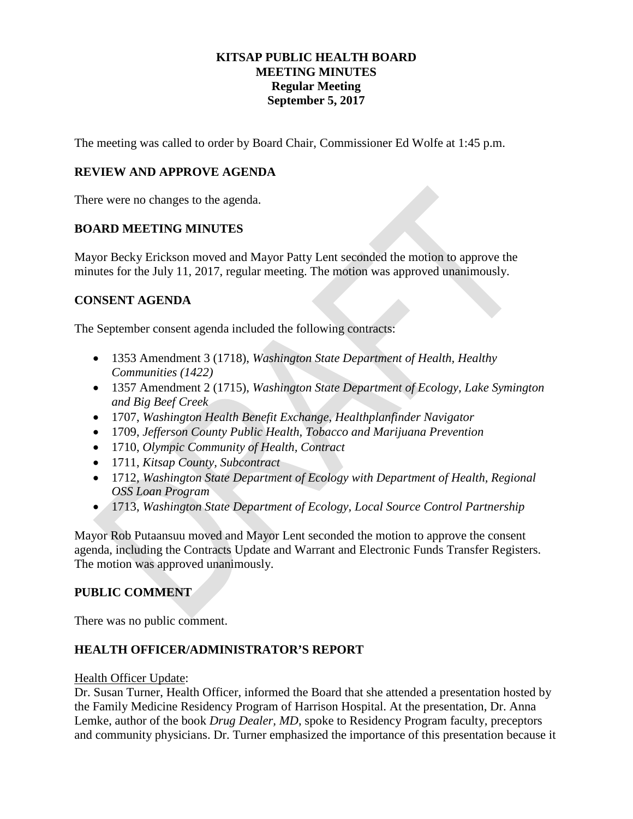### **KITSAP PUBLIC HEALTH BOARD MEETING MINUTES Regular Meeting September 5, 2017**

The meeting was called to order by Board Chair, Commissioner Ed Wolfe at 1:45 p.m.

### **REVIEW AND APPROVE AGENDA**

There were no changes to the agenda.

### **BOARD MEETING MINUTES**

Mayor Becky Erickson moved and Mayor Patty Lent seconded the motion to approve the minutes for the July 11, 2017, regular meeting. The motion was approved unanimously.

### **CONSENT AGENDA**

The September consent agenda included the following contracts:

- 1353 Amendment 3 (1718), *Washington State Department of Health, Healthy Communities (1422)*
- 1357 Amendment 2 (1715), *Washington State Department of Ecology, Lake Symington and Big Beef Creek*
- 1707, *Washington Health Benefit Exchange, Healthplanfinder Navigator*
- 1709, *Jefferson County Public Health, Tobacco and Marijuana Prevention*
- 1710, *Olympic Community of Health, Contract*
- 1711, *Kitsap County, Subcontract*
- 1712, *Washington State Department of Ecology with Department of Health, Regional OSS Loan Program*
- 1713, *Washington State Department of Ecology, Local Source Control Partnership*

Mayor Rob Putaansuu moved and Mayor Lent seconded the motion to approve the consent agenda, including the Contracts Update and Warrant and Electronic Funds Transfer Registers. The motion was approved unanimously.

### **PUBLIC COMMENT**

There was no public comment.

### **HEALTH OFFICER/ADMINISTRATOR'S REPORT**

### Health Officer Update:

Dr. Susan Turner, Health Officer, informed the Board that she attended a presentation hosted by the Family Medicine Residency Program of Harrison Hospital. At the presentation, Dr. Anna Lemke, author of the book *Drug Dealer, MD*, spoke to Residency Program faculty, preceptors and community physicians. Dr. Turner emphasized the importance of this presentation because it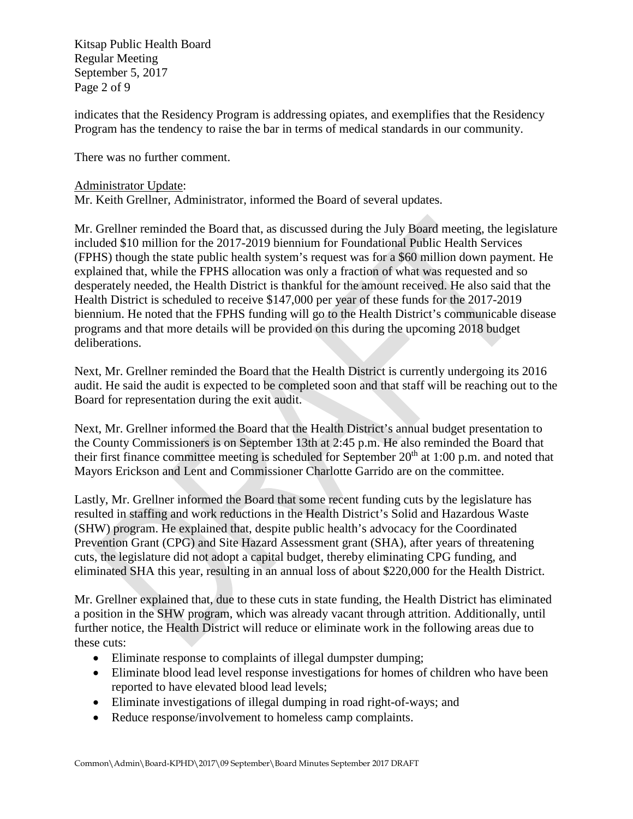Kitsap Public Health Board Regular Meeting September 5, 2017 Page 2 of 9

indicates that the Residency Program is addressing opiates, and exemplifies that the Residency Program has the tendency to raise the bar in terms of medical standards in our community.

There was no further comment.

### Administrator Update:

Mr. Keith Grellner, Administrator, informed the Board of several updates.

Mr. Grellner reminded the Board that, as discussed during the July Board meeting, the legislature included \$10 million for the 2017-2019 biennium for Foundational Public Health Services (FPHS) though the state public health system's request was for a \$60 million down payment. He explained that, while the FPHS allocation was only a fraction of what was requested and so desperately needed, the Health District is thankful for the amount received. He also said that the Health District is scheduled to receive \$147,000 per year of these funds for the 2017-2019 biennium. He noted that the FPHS funding will go to the Health District's communicable disease programs and that more details will be provided on this during the upcoming 2018 budget deliberations.

Next, Mr. Grellner reminded the Board that the Health District is currently undergoing its 2016 audit. He said the audit is expected to be completed soon and that staff will be reaching out to the Board for representation during the exit audit.

Next, Mr. Grellner informed the Board that the Health District's annual budget presentation to the County Commissioners is on September 13th at 2:45 p.m. He also reminded the Board that their first finance committee meeting is scheduled for September  $20<sup>th</sup>$  at 1:00 p.m. and noted that Mayors Erickson and Lent and Commissioner Charlotte Garrido are on the committee.

Lastly, Mr. Grellner informed the Board that some recent funding cuts by the legislature has resulted in staffing and work reductions in the Health District's Solid and Hazardous Waste (SHW) program. He explained that, despite public health's advocacy for the Coordinated Prevention Grant (CPG) and Site Hazard Assessment grant (SHA), after years of threatening cuts, the legislature did not adopt a capital budget, thereby eliminating CPG funding, and eliminated SHA this year, resulting in an annual loss of about \$220,000 for the Health District.

Mr. Grellner explained that, due to these cuts in state funding, the Health District has eliminated a position in the SHW program, which was already vacant through attrition. Additionally, until further notice, the Health District will reduce or eliminate work in the following areas due to these cuts:

- Eliminate response to complaints of illegal dumpster dumping;
- Eliminate blood lead level response investigations for homes of children who have been reported to have elevated blood lead levels;
- Eliminate investigations of illegal dumping in road right-of-ways; and
- Reduce response/involvement to homeless camp complaints.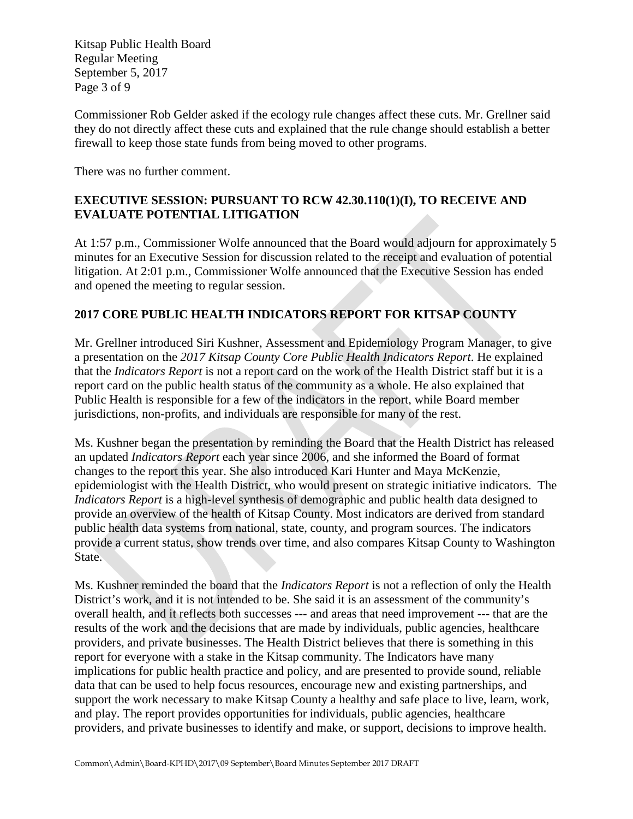Kitsap Public Health Board Regular Meeting September 5, 2017 Page 3 of 9

Commissioner Rob Gelder asked if the ecology rule changes affect these cuts. Mr. Grellner said they do not directly affect these cuts and explained that the rule change should establish a better firewall to keep those state funds from being moved to other programs.

There was no further comment.

### **EXECUTIVE SESSION: PURSUANT TO RCW 42.30.110(1)(I), TO RECEIVE AND EVALUATE POTENTIAL LITIGATION**

At 1:57 p.m., Commissioner Wolfe announced that the Board would adjourn for approximately 5 minutes for an Executive Session for discussion related to the receipt and evaluation of potential litigation. At 2:01 p.m., Commissioner Wolfe announced that the Executive Session has ended and opened the meeting to regular session.

### **2017 CORE PUBLIC HEALTH INDICATORS REPORT FOR KITSAP COUNTY**

Mr. Grellner introduced Siri Kushner, Assessment and Epidemiology Program Manager, to give a presentation on the *2017 Kitsap County Core Public Health Indicators Report*. He explained that the *Indicators Report* is not a report card on the work of the Health District staff but it is a report card on the public health status of the community as a whole. He also explained that Public Health is responsible for a few of the indicators in the report, while Board member jurisdictions, non-profits, and individuals are responsible for many of the rest.

Ms. Kushner began the presentation by reminding the Board that the Health District has released an updated *Indicators Report* each year since 2006, and she informed the Board of format changes to the report this year. She also introduced Kari Hunter and Maya McKenzie, epidemiologist with the Health District, who would present on strategic initiative indicators. The *Indicators Report* is a high-level synthesis of demographic and public health data designed to provide an overview of the health of Kitsap County. Most indicators are derived from standard public health data systems from national, state, county, and program sources. The indicators provide a current status, show trends over time, and also compares Kitsap County to Washington State.

Ms. Kushner reminded the board that the *Indicators Report* is not a reflection of only the Health District's work, and it is not intended to be. She said it is an assessment of the community's overall health, and it reflects both successes --- and areas that need improvement --- that are the results of the work and the decisions that are made by individuals, public agencies, healthcare providers, and private businesses. The Health District believes that there is something in this report for everyone with a stake in the Kitsap community. The Indicators have many implications for public health practice and policy, and are presented to provide sound, reliable data that can be used to help focus resources, encourage new and existing partnerships, and support the work necessary to make Kitsap County a healthy and safe place to live, learn, work, and play. The report provides opportunities for individuals, public agencies, healthcare providers, and private businesses to identify and make, or support, decisions to improve health.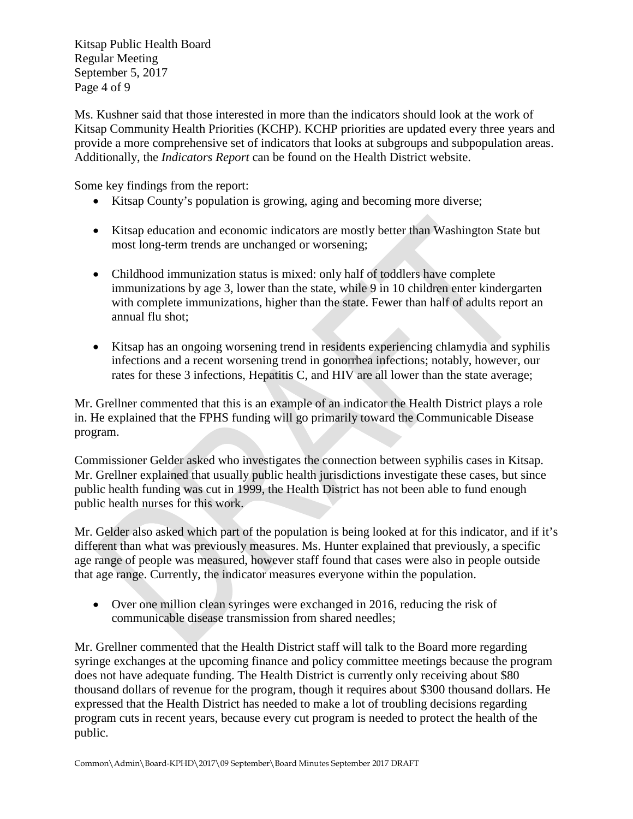Kitsap Public Health Board Regular Meeting September 5, 2017 Page 4 of 9

Ms. Kushner said that those interested in more than the indicators should look at the work of Kitsap Community Health Priorities (KCHP). KCHP priorities are updated every three years and provide a more comprehensive set of indicators that looks at subgroups and subpopulation areas. Additionally, the *Indicators Report* can be found on the Health District website.

Some key findings from the report:

- Kitsap County's population is growing, aging and becoming more diverse;
- Kitsap education and economic indicators are mostly better than Washington State but most long-term trends are unchanged or worsening;
- Childhood immunization status is mixed: only half of toddlers have complete immunizations by age 3, lower than the state, while 9 in 10 children enter kindergarten with complete immunizations, higher than the state. Fewer than half of adults report an annual flu shot;
- Kitsap has an ongoing worsening trend in residents experiencing chlamydia and syphilis infections and a recent worsening trend in gonorrhea infections; notably, however, our rates for these 3 infections, Hepatitis C, and HIV are all lower than the state average;

Mr. Grellner commented that this is an example of an indicator the Health District plays a role in. He explained that the FPHS funding will go primarily toward the Communicable Disease program.

Commissioner Gelder asked who investigates the connection between syphilis cases in Kitsap. Mr. Grellner explained that usually public health jurisdictions investigate these cases, but since public health funding was cut in 1999, the Health District has not been able to fund enough public health nurses for this work.

Mr. Gelder also asked which part of the population is being looked at for this indicator, and if it's different than what was previously measures. Ms. Hunter explained that previously, a specific age range of people was measured, however staff found that cases were also in people outside that age range. Currently, the indicator measures everyone within the population.

• Over one million clean syringes were exchanged in 2016, reducing the risk of communicable disease transmission from shared needles;

Mr. Grellner commented that the Health District staff will talk to the Board more regarding syringe exchanges at the upcoming finance and policy committee meetings because the program does not have adequate funding. The Health District is currently only receiving about \$80 thousand dollars of revenue for the program, though it requires about \$300 thousand dollars. He expressed that the Health District has needed to make a lot of troubling decisions regarding program cuts in recent years, because every cut program is needed to protect the health of the public.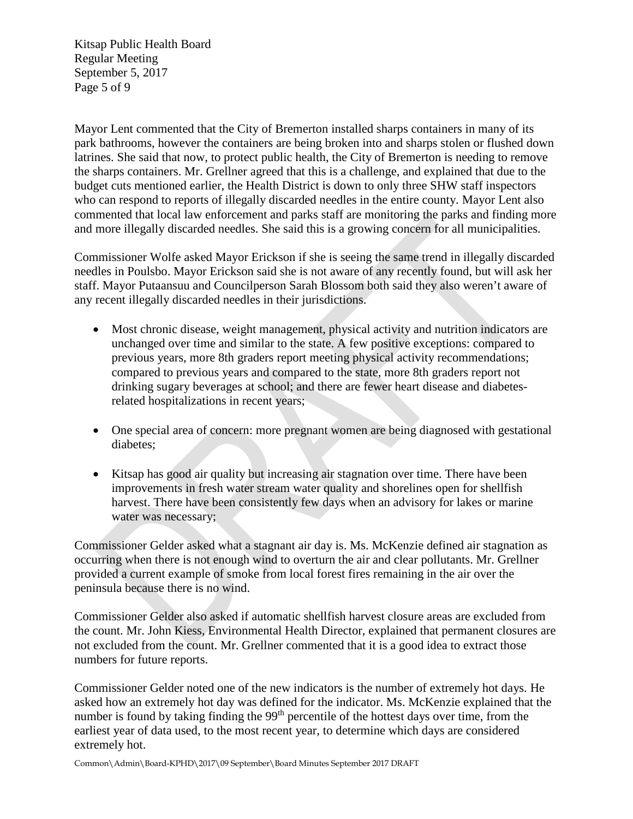Kitsap Public Health Board Regular Meeting September 5, 2017 Page 5 of 9

Mayor Lent commented that the City of Bremerton installed sharps containers in many of its park bathrooms, however the containers are being broken into and sharps stolen or flushed down latrines. She said that now, to protect public health, the City of Bremerton is needing to remove the sharps containers. Mr. Grellner agreed that this is a challenge, and explained that due to the budget cuts mentioned earlier, the Health District is down to only three SHW staff inspectors who can respond to reports of illegally discarded needles in the entire county. Mayor Lent also commented that local law enforcement and parks staff are monitoring the parks and finding more and more illegally discarded needles. She said this is a growing concern for all municipalities.

Commissioner Wolfe asked Mayor Erickson if she is seeing the same trend in illegally discarded needles in Poulsbo. Mayor Erickson said she is not aware of any recently found, but will ask her staff. Mayor Putaansuu and Councilperson Sarah Blossom both said they also weren't aware of any recent illegally discarded needles in their jurisdictions.

- Most chronic disease, weight management, physical activity and nutrition indicators are unchanged over time and similar to the state. A few positive exceptions: compared to previous years, more 8th graders report meeting physical activity recommendations; compared to previous years and compared to the state, more 8th graders report not drinking sugary beverages at school; and there are fewer heart disease and diabetesrelated hospitalizations in recent years;
- One special area of concern: more pregnant women are being diagnosed with gestational diabetes;
- Kitsap has good air quality but increasing air stagnation over time. There have been improvements in fresh water stream water quality and shorelines open for shellfish harvest. There have been consistently few days when an advisory for lakes or marine water was necessary;

Commissioner Gelder asked what a stagnant air day is. Ms. McKenzie defined air stagnation as occurring when there is not enough wind to overturn the air and clear pollutants. Mr. Grellner provided a current example of smoke from local forest fires remaining in the air over the peninsula because there is no wind.

Commissioner Gelder also asked if automatic shellfish harvest closure areas are excluded from the count. Mr. John Kiess, Environmental Health Director, explained that permanent closures are not excluded from the count. Mr. Grellner commented that it is a good idea to extract those numbers for future reports.

Commissioner Gelder noted one of the new indicators is the number of extremely hot days. He asked how an extremely hot day was defined for the indicator. Ms. McKenzie explained that the number is found by taking finding the 99<sup>th</sup> percentile of the hottest days over time, from the earliest year of data used, to the most recent year, to determine which days are considered extremely hot.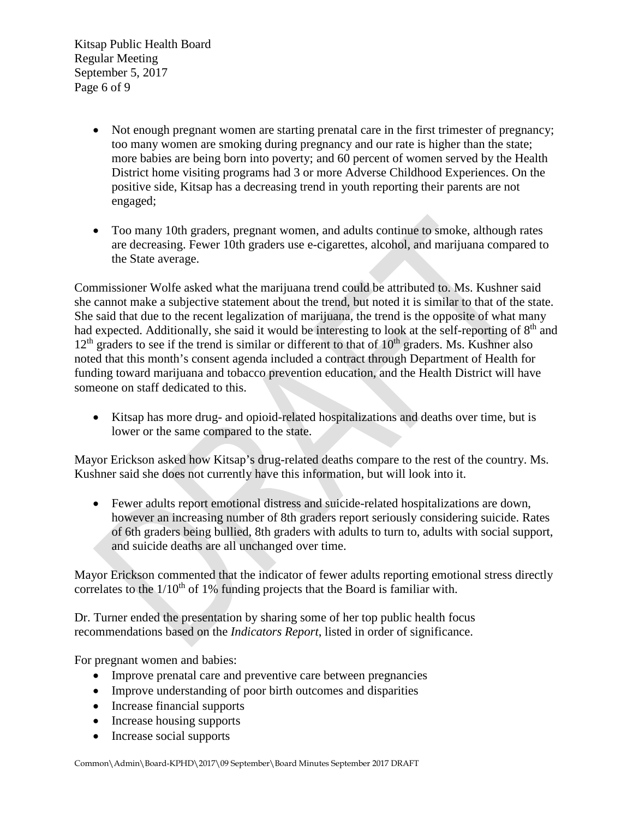Kitsap Public Health Board Regular Meeting September 5, 2017 Page 6 of 9

- Not enough pregnant women are starting prenatal care in the first trimester of pregnancy; too many women are smoking during pregnancy and our rate is higher than the state; more babies are being born into poverty; and 60 percent of women served by the Health District home visiting programs had 3 or more Adverse Childhood Experiences. On the positive side, Kitsap has a decreasing trend in youth reporting their parents are not engaged;
- Too many 10th graders, pregnant women, and adults continue to smoke, although rates are decreasing. Fewer 10th graders use e-cigarettes, alcohol, and marijuana compared to the State average.

Commissioner Wolfe asked what the marijuana trend could be attributed to. Ms. Kushner said she cannot make a subjective statement about the trend, but noted it is similar to that of the state. She said that due to the recent legalization of marijuana, the trend is the opposite of what many had expected. Additionally, she said it would be interesting to look at the self-reporting of 8<sup>th</sup> and  $12<sup>th</sup>$  graders to see if the trend is similar or different to that of  $10<sup>th</sup>$  graders. Ms. Kushner also noted that this month's consent agenda included a contract through Department of Health for funding toward marijuana and tobacco prevention education, and the Health District will have someone on staff dedicated to this.

• Kitsap has more drug- and opioid-related hospitalizations and deaths over time, but is lower or the same compared to the state.

Mayor Erickson asked how Kitsap's drug-related deaths compare to the rest of the country. Ms. Kushner said she does not currently have this information, but will look into it.

• Fewer adults report emotional distress and suicide-related hospitalizations are down, however an increasing number of 8th graders report seriously considering suicide. Rates of 6th graders being bullied, 8th graders with adults to turn to, adults with social support, and suicide deaths are all unchanged over time.

Mayor Erickson commented that the indicator of fewer adults reporting emotional stress directly correlates to the  $1/10<sup>th</sup>$  of 1% funding projects that the Board is familiar with.

Dr. Turner ended the presentation by sharing some of her top public health focus recommendations based on the *Indicators Report*, listed in order of significance.

For pregnant women and babies:

- Improve prenatal care and preventive care between pregnancies
- Improve understanding of poor birth outcomes and disparities
- Increase financial supports
- Increase housing supports
- Increase social supports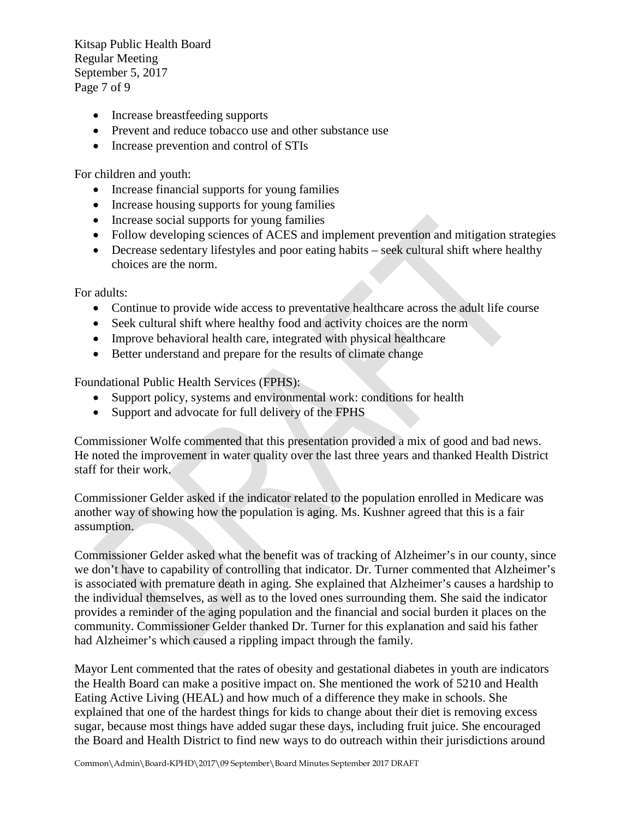Kitsap Public Health Board Regular Meeting September 5, 2017 Page 7 of 9

- Increase breastfeeding supports
- Prevent and reduce tobacco use and other substance use
- Increase prevention and control of STIs

For children and youth:

- Increase financial supports for young families
- Increase housing supports for young families
- Increase social supports for young families
- Follow developing sciences of ACES and implement prevention and mitigation strategies
- Decrease sedentary lifestyles and poor eating habits seek cultural shift where healthy choices are the norm.

For adults:

- Continue to provide wide access to preventative healthcare across the adult life course
- Seek cultural shift where healthy food and activity choices are the norm
- Improve behavioral health care, integrated with physical healthcare
- Better understand and prepare for the results of climate change

Foundational Public Health Services (FPHS):

- Support policy, systems and environmental work: conditions for health
- Support and advocate for full delivery of the FPHS

Commissioner Wolfe commented that this presentation provided a mix of good and bad news. He noted the improvement in water quality over the last three years and thanked Health District staff for their work.

Commissioner Gelder asked if the indicator related to the population enrolled in Medicare was another way of showing how the population is aging. Ms. Kushner agreed that this is a fair assumption.

Commissioner Gelder asked what the benefit was of tracking of Alzheimer's in our county, since we don't have to capability of controlling that indicator. Dr. Turner commented that Alzheimer's is associated with premature death in aging. She explained that Alzheimer's causes a hardship to the individual themselves, as well as to the loved ones surrounding them. She said the indicator provides a reminder of the aging population and the financial and social burden it places on the community. Commissioner Gelder thanked Dr. Turner for this explanation and said his father had Alzheimer's which caused a rippling impact through the family.

Mayor Lent commented that the rates of obesity and gestational diabetes in youth are indicators the Health Board can make a positive impact on. She mentioned the work of 5210 and Health Eating Active Living (HEAL) and how much of a difference they make in schools. She explained that one of the hardest things for kids to change about their diet is removing excess sugar, because most things have added sugar these days, including fruit juice. She encouraged the Board and Health District to find new ways to do outreach within their jurisdictions around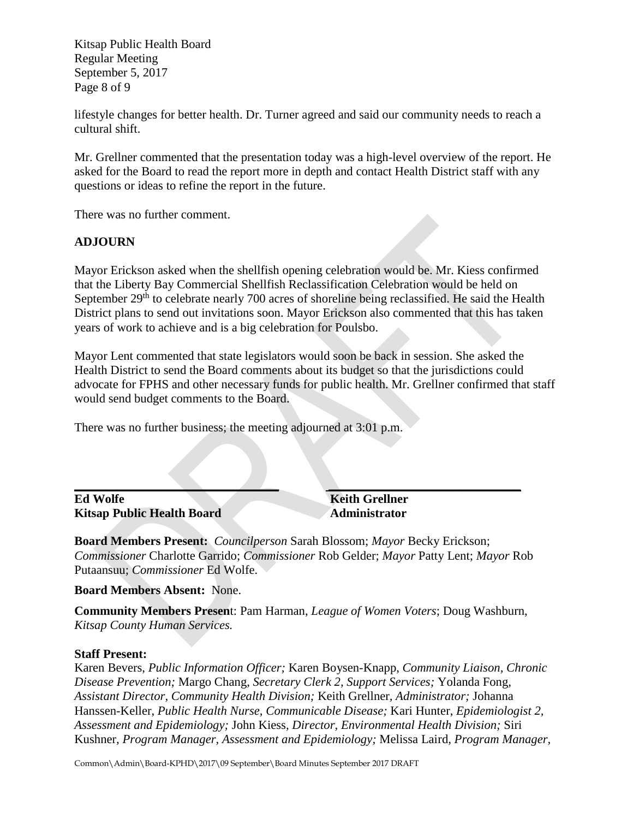Kitsap Public Health Board Regular Meeting September 5, 2017 Page 8 of 9

lifestyle changes for better health. Dr. Turner agreed and said our community needs to reach a cultural shift.

Mr. Grellner commented that the presentation today was a high-level overview of the report. He asked for the Board to read the report more in depth and contact Health District staff with any questions or ideas to refine the report in the future.

There was no further comment.

### **ADJOURN**

Mayor Erickson asked when the shellfish opening celebration would be. Mr. Kiess confirmed that the Liberty Bay Commercial Shellfish Reclassification Celebration would be held on September 29<sup>th</sup> to celebrate nearly 700 acres of shoreline being reclassified. He said the Health District plans to send out invitations soon. Mayor Erickson also commented that this has taken years of work to achieve and is a big celebration for Poulsbo.

Mayor Lent commented that state legislators would soon be back in session. She asked the Health District to send the Board comments about its budget so that the jurisdictions could advocate for FPHS and other necessary funds for public health. Mr. Grellner confirmed that staff would send budget comments to the Board.

There was no further business; the meeting adjourned at 3:01 p.m.

### **\_\_\_\_\_\_\_\_\_\_\_\_\_\_\_\_\_\_\_\_\_\_\_\_\_\_\_\_\_\_\_\_\_ \_\_\_\_\_\_\_\_\_\_\_\_\_\_\_\_\_\_\_\_\_\_\_\_\_\_\_\_\_\_\_ Ed Wolfe Keith Grellner Kitsap Public Health Board Administrator**

**Board Members Present:** *Councilperson* Sarah Blossom; *Mayor* Becky Erickson; *Commissioner* Charlotte Garrido; *Commissioner* Rob Gelder; *Mayor* Patty Lent; *Mayor* Rob Putaansuu; *Commissioner* Ed Wolfe.

**Board Members Absent:** None.

**Community Members Presen**t: Pam Harman, *League of Women Voters*; Doug Washburn, *Kitsap County Human Services.*

### **Staff Present:**

Karen Bevers, *Public Information Officer;* Karen Boysen-Knapp, *Community Liaison, Chronic Disease Prevention;* Margo Chang, *Secretary Clerk 2, Support Services;* Yolanda Fong*, Assistant Director, Community Health Division;* Keith Grellner*, Administrator;* Johanna Hanssen-Keller, *Public Health Nurse, Communicable Disease;* Kari Hunter, *Epidemiologist 2, Assessment and Epidemiology;* John Kiess*, Director, Environmental Health Division;* Siri Kushner*, Program Manager, Assessment and Epidemiology;* Melissa Laird*, Program Manager,*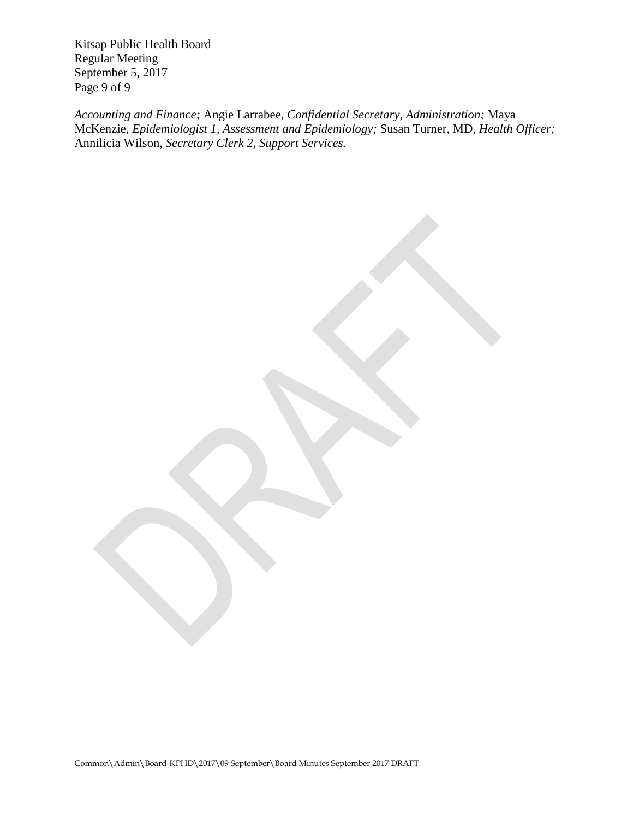Kitsap Public Health Board Regular Meeting September 5, 2017 Page 9 of 9

*Accounting and Finance;* Angie Larrabee, *Confidential Secretary, Administration;* Maya McKenzie, *Epidemiologist 1, Assessment and Epidemiology;* Susan Turner, MD*, Health Officer;*  Annilicia Wilson*, Secretary Clerk 2, Support Services.*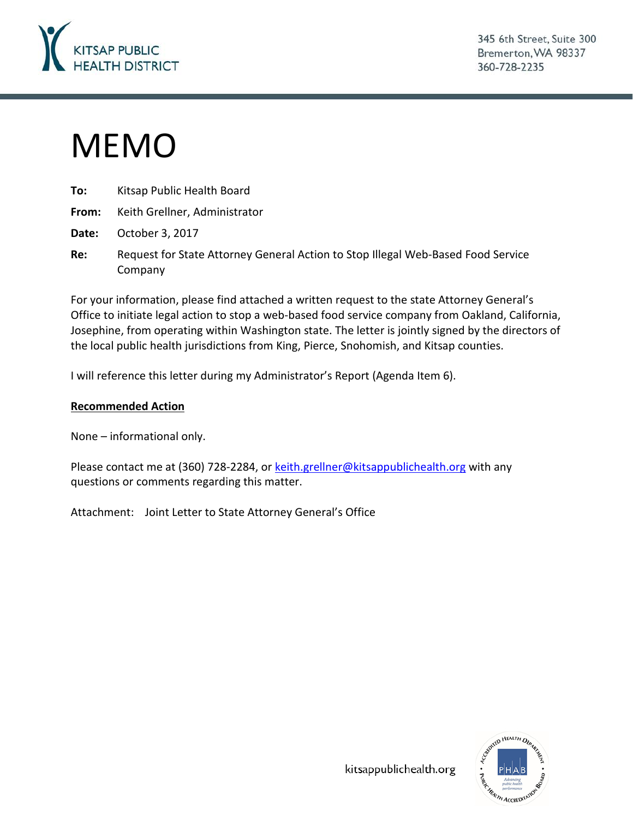

345 6th Street, Suite 300 Bremerton, WA 98337 360-728-2235

# MEMO

| To: To | Kitsap Public Health Board                |  |
|--------|-------------------------------------------|--|
|        | From: Keith Grellner, Administrator       |  |
|        | <b>Date:</b> October 3, 2017              |  |
| Re:    | Request for State Attorney General Action |  |

Reftormer Stop Illegal Web-Based Food Service Company

For your information, please find attached a written request to the state Attorney General's Office to initiate legal action to stop a web-based food service company from Oakland, California, Josephine, from operating within Washington state. The letter is jointly signed by the directors of the local public health jurisdictions from King, Pierce, Snohomish, and Kitsap counties.

I will reference this letter during my Administrator's Report (Agenda Item 6).

### **Recommended Action**

None – informational only.

Please contact me at (360) 728-2284, or [keith.grellner@kitsappublichealth.org](mailto:keith.grellner@kitsappublichealth.org) with any questions or comments regarding this matter.

Attachment: Joint Letter to State Attorney General's Office



kitsappublichealth.org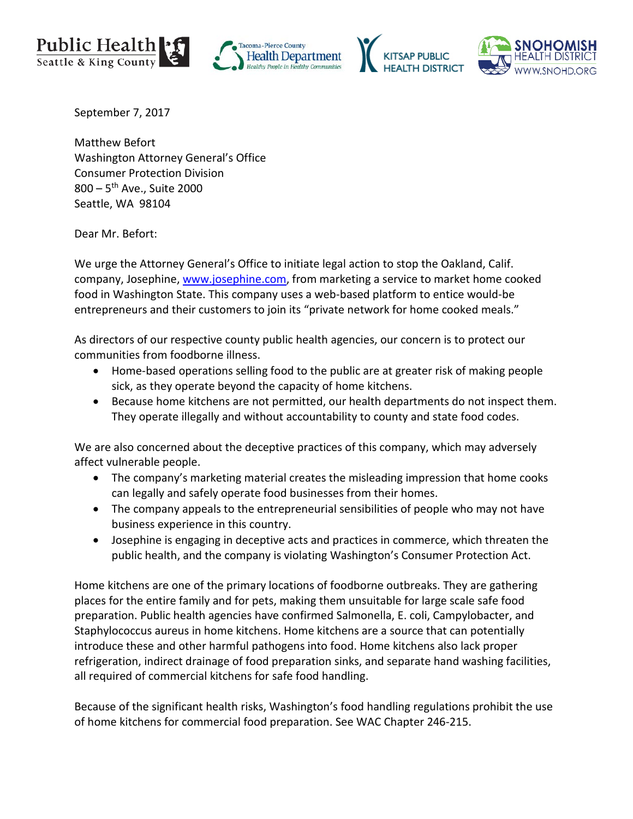







September 7, 2017

Matthew Befort Washington Attorney General's Office Consumer Protection Division  $800 - 5$ <sup>th</sup> Ave., Suite 2000 Seattle, WA 98104

Dear Mr. Befort:

We urge the Attorney General's Office to initiate legal action to stop the Oakland, Calif. company, Josephine, [www.josephine.com,](http://www.josephine.com/) from marketing a service to market home cooked food in Washington State. This company uses a web-based platform to entice would-be entrepreneurs and their customers to join its "private network for home cooked meals."

As directors of our respective county public health agencies, our concern is to protect our communities from foodborne illness.

- Home-based operations selling food to the public are at greater risk of making people sick, as they operate beyond the capacity of home kitchens.
- Because home kitchens are not permitted, our health departments do not inspect them. They operate illegally and without accountability to county and state food codes.

We are also concerned about the deceptive practices of this company, which may adversely affect vulnerable people.

- The company's marketing material creates the misleading impression that home cooks can legally and safely operate food businesses from their homes.
- The company appeals to the entrepreneurial sensibilities of people who may not have business experience in this country.
- Josephine is engaging in deceptive acts and practices in commerce, which threaten the public health, and the company is violating Washington's Consumer Protection Act.

Home kitchens are one of the primary locations of foodborne outbreaks. They are gathering places for the entire family and for pets, making them unsuitable for large scale safe food preparation. Public health agencies have confirmed Salmonella, E. coli, Campylobacter, and Staphylococcus aureus in home kitchens. Home kitchens are a source that can potentially introduce these and other harmful pathogens into food. Home kitchens also lack proper refrigeration, indirect drainage of food preparation sinks, and separate hand washing facilities, all required of commercial kitchens for safe food handling.

Because of the significant health risks, Washington's food handling regulations prohibit the use of home kitchens for commercial food preparation. See WAC Chapter 246-215.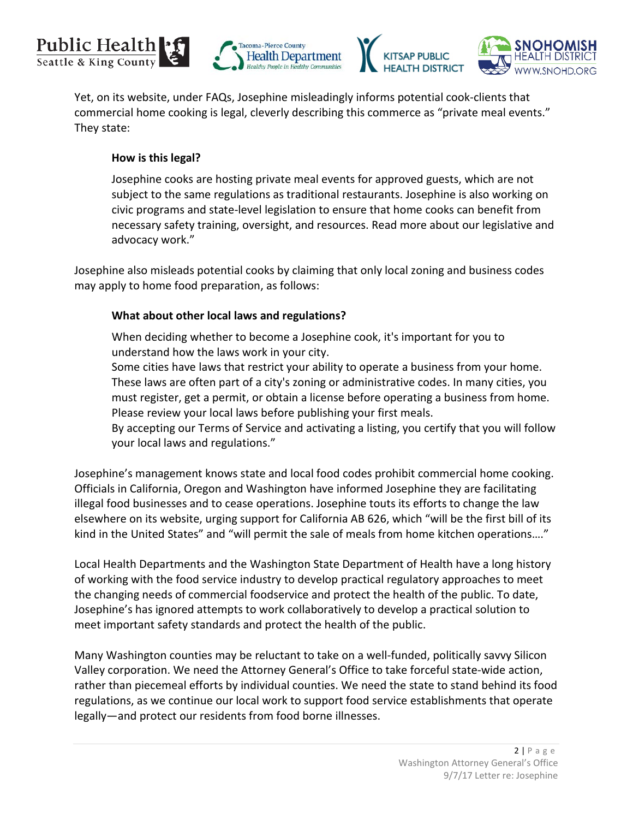







Yet, on its website, under FAQs, Josephine misleadingly informs potential cook-clients that commercial home cooking is legal, cleverly describing this commerce as "private meal events." They state:

### **How is this legal?**

Josephine cooks are hosting private meal events for approved guests, which are not subject to the same regulations as traditional restaurants. Josephine is also working on civic programs and state-level legislation to ensure that home cooks can benefit from necessary safety training, oversight, and resources. [Read more about our legislative and](http://advocacy.josephine.com/)  [advocacy work.](http://advocacy.josephine.com/)"

Josephine also misleads potential cooks by claiming that only local zoning and business codes may apply to home food preparation, as follows:

### **What about other local laws and regulations?**

When deciding whether to become a Josephine cook, it's important for you to understand how the laws work in your city.

Some cities have laws that restrict your ability to operate a business from your home. These laws are often part of a city's zoning or administrative codes. In many cities, you must register, get a permit, or obtain a license before operating a business from home. Please review your local laws before publishing your first meals.

By accepting our Terms of Service and activating a listing, you certify that you will follow your local laws and regulations."

Josephine's management knows state and local food codes prohibit commercial home cooking. Officials in California, Oregon and Washington have informed Josephine they are facilitating illegal food businesses and to cease operations. Josephine touts its efforts to change the law elsewhere on its website, urging support for California AB 626, which "will be the first bill of its kind in the United States" and "will permit the sale of meals from home kitchen operations...."

Local Health Departments and the Washington State Department of Health have a long history of working with the food service industry to develop practical regulatory approaches to meet the changing needs of commercial foodservice and protect the health of the public. To date, Josephine's has ignored attempts to work collaboratively to develop a practical solution to meet important safety standards and protect the health of the public.

Many Washington counties may be reluctant to take on a well-funded, politically savvy Silicon Valley corporation. We need the Attorney General's Office to take forceful state-wide action, rather than piecemeal efforts by individual counties. We need the state to stand behind its food regulations, as we continue our local work to support food service establishments that operate legally—and protect our residents from food borne illnesses.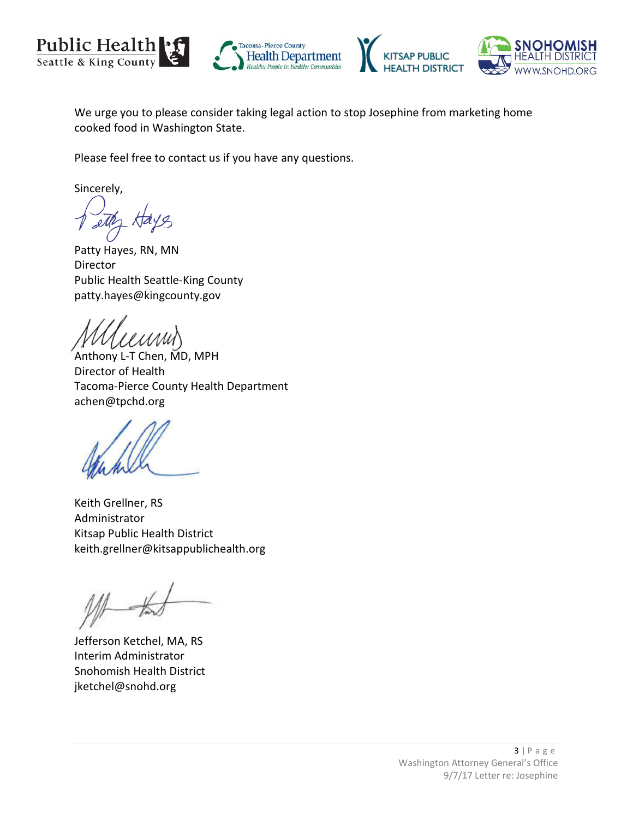







We urge you to please consider taking legal action to stop Josephine from marketing home cooked food in Washington State.

Please feel free to contact us if you have any questions.

Sincerely,

Patty Hayes, RN, MN Director Public Health Seattle-King County patty.hayes@kingcounty.gov

Anthony L-T Chen, MD, MPH Director of Health Tacoma-Pierce County Health Department achen@tpchd.org

Keith Grellner, RS Administrator Kitsap Public Health District keith.grellner@kitsappublichealth.org

Jefferson Ketchel, MA, RS Interim Administrator Snohomish Health District jketchel@snohd.org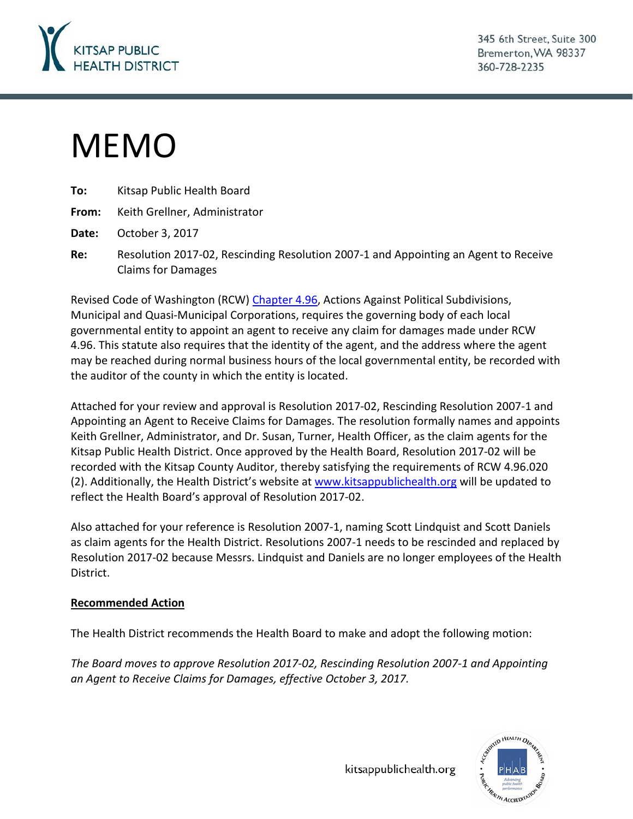

345 6th Street, Suite 300 Bremerton, WA 98337 360-728-2235

# MEMO

| To:   | Kitsap Public Health Board                                                                                       |
|-------|------------------------------------------------------------------------------------------------------------------|
| From: | Keith Grellner, Administrator                                                                                    |
| Date: | October 3, 2017                                                                                                  |
| Re:   | Resolution 2017-02, Rescinding Resolution 2007-1 and Appointing an Agent to Receive<br><b>Claims for Damages</b> |

Revised Code of Washington (RCW) [Chapter 4.96,](http://app.leg.wa.gov/rcw/default.aspx?cite=4.96) Actions Against Political Subdivisions, Municipal and Quasi-Municipal Corporations, requires the governing body of each local governmental entity to appoint an agent to receive any claim for damages made under RCW 4.96. This statute also requires that the identity of the agent, and the address where the agent may be reached during normal business hours of the local governmental entity, be recorded with the auditor of the county in which the entity is located.

Attached for your review and approval is Resolution 2017-02, Rescinding Resolution 2007-1 and Appointing an Agent to Receive Claims for Damages. The resolution formally names and appoints Keith Grellner, Administrator, and Dr. Susan, Turner, Health Officer, as the claim agents for the Kitsap Public Health District. Once approved by the Health Board, Resolution 2017-02 will be recorded with the Kitsap County Auditor, thereby satisfying the requirements of RCW 4.96.020 (2). Additionally, the Health District's website at [www.kitsappublichealth.org](http://www.kitsappublichealth.org/) will be updated to reflect the Health Board's approval of Resolution 2017-02.

Also attached for your reference is Resolution 2007-1, naming Scott Lindquist and Scott Daniels as claim agents for the Health District. Resolutions 2007-1 needs to be rescinded and replaced by Resolution 2017-02 because Messrs. Lindquist and Daniels are no longer employees of the Health District.

### **Recommended Action**

The Health District recommends the Health Board to make and adopt the following motion:

*The Board moves to approve Resolution 2017-02, Rescinding Resolution 2007-1 and Appointing an Agent to Receive Claims for Damages, effective October 3, 2017.*



kitsappublichealth.org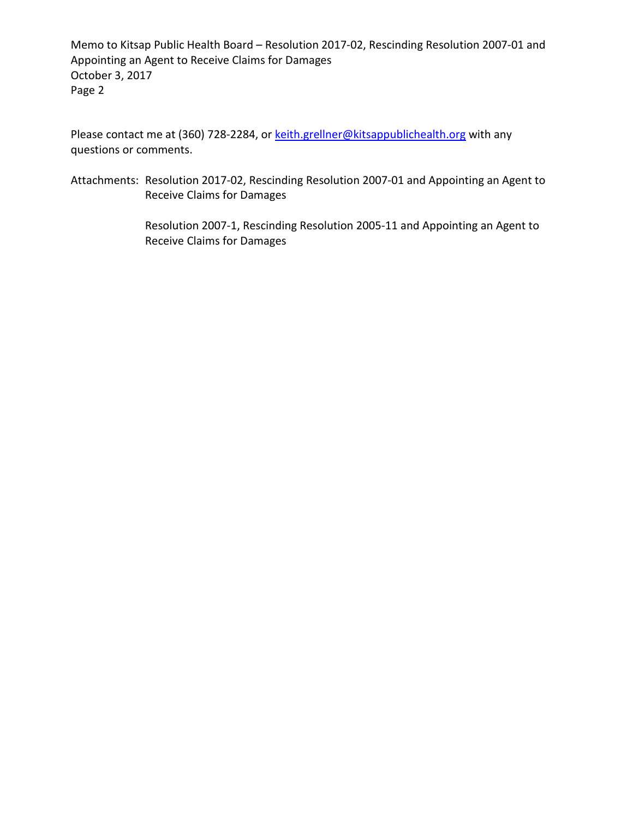Memo to Kitsap Public Health Board – Resolution 2017-02, Rescinding Resolution 2007-01 and Appointing an Agent to Receive Claims for Damages October 3, 2017 Page 2

Please contact me at (360) 728-2284, or [keith.grellner@kitsappublichealth.org](mailto:keith.grellner@kitsappublichealth.org) with any questions or comments.

Attachments: Resolution 2017-02, Rescinding Resolution 2007-01 and Appointing an Agent to Receive Claims for Damages

> Resolution 2007-1, Rescinding Resolution 2005-11 and Appointing an Agent to Receive Claims for Damages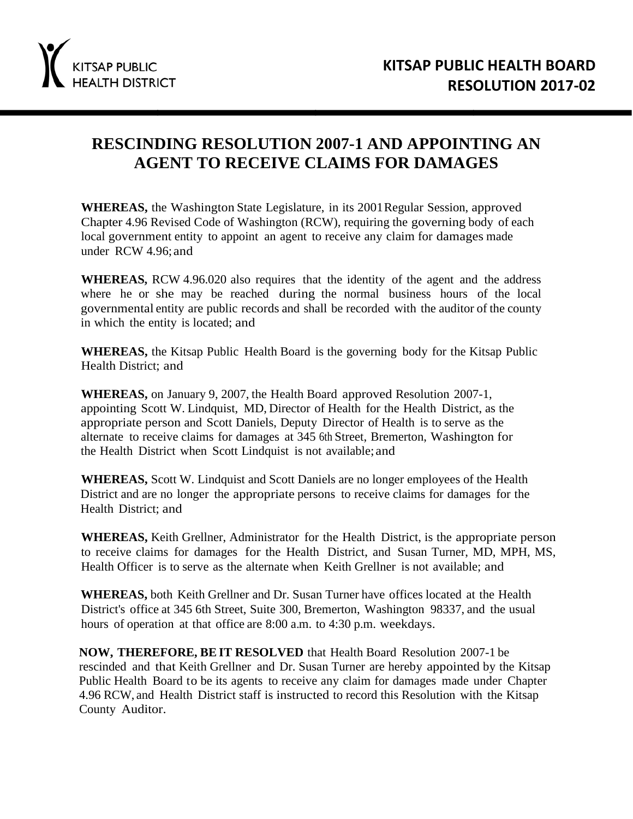### **RESCINDING RESOLUTION 2007-1 AND APPOINTING AN AGENT TO RECEIVE CLAIMS FOR DAMAGES**

**WHEREAS,** the Washington State Legislature, in its 2001Regular Session, approved Chapter 4.96 Revised Code of Washington (RCW), requiring the governing body of each local government entity to appoint an agent to receive any claim for damages made under RCW 4.96; and

**WHEREAS,** RCW 4.96.020 also requires that the identity of the agent and the address where he or she may be reached during the normal business hours of the local governmental entity are public records and shall be recorded with the auditor of the county in which the entity is located; and

**WHEREAS,** the Kitsap Public Health Board is the governing body for the Kitsap Public Health District; and

**WHEREAS,** on January 9, 2007, the Health Board approved Resolution 2007-1, appointing Scott W. Lindquist, MD, Director of Health for the Health District, as the appropriate person and Scott Daniels, Deputy Director of Health is to serve as the alternate to receive claims for damages at 345 6th Street, Bremerton, Washington for the Health District when Scott Lindquist is not available; and

**WHEREAS,** Scott W. Lindquist and Scott Daniels are no longer employees of the Health District and are no longer the appropriate persons to receive claims for damages for the Health District; and

**WHEREAS,** Keith Grellner, Administrator for the Health District, is the appropriate person to receive claims for damages for the Health District, and Susan Turner, MD, MPH, MS, Health Officer is to serve as the alternate when Keith Grellner is not available; and

**WHEREAS,** both Keith Grellner and Dr. Susan Turner have offices located at the Health District's office at 345 6th Street, Suite 300, Bremerton, Washington 98337, and the usual hours of operation at that office are 8:00 a.m. to 4:30 p.m. weekdays.

**NOW, THEREFORE, BE IT RESOLVED** that Health Board Resolution 2007-1 be rescinded and that Keith Grellner and Dr. Susan Turner are hereby appointed by the Kitsap Public Health Board to be its agents to receive any claim for damages made under Chapter 4.96 RCW, and Health District staff is instructed to record this Resolution with the Kitsap County Auditor.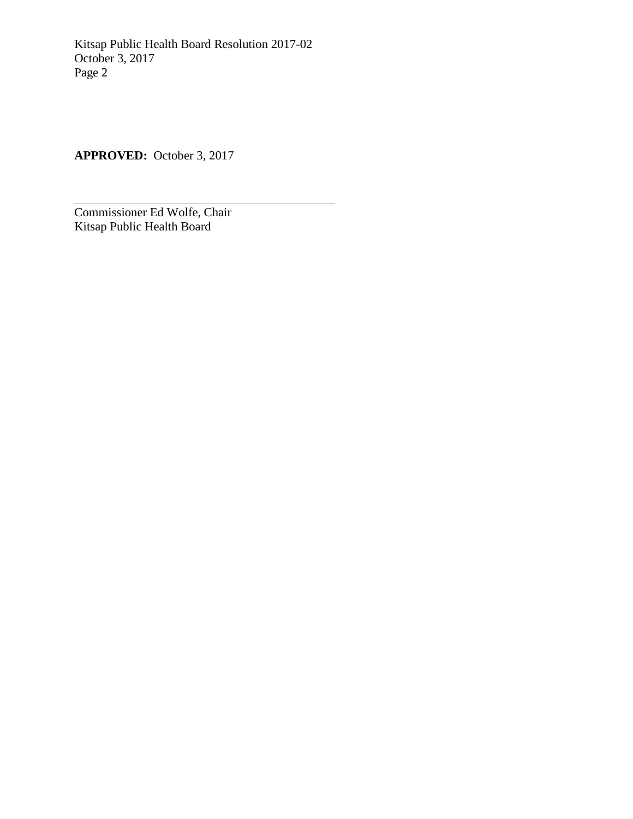Kitsap Public Health Board Resolution 2017-02 October 3, 2017 Page 2

**APPROVED:** October 3, 2017

Commissioner Ed Wolfe, Chair Kitsap Public Health Board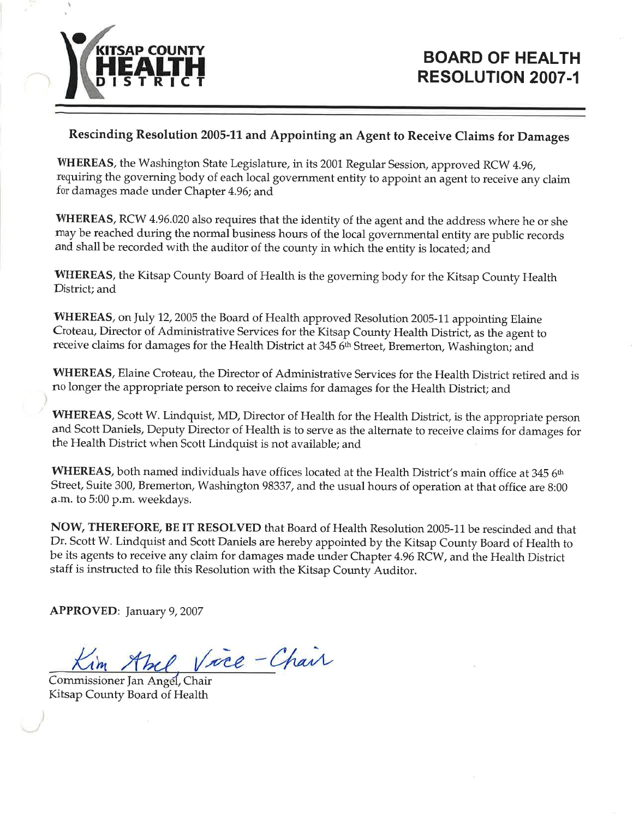

### Rescinding Resolution 2005-11 and Appointing an Agent to Receive Claims for Damages

WHEREAS, the Washington State Legislature, in its 2001 Regular Session, approved RCW 4.96, requiring the governing body of each local government entity to appoint an agent to receive any claim for damages made under Chapter 4.96; and

WHEREAS, RCW 4.96.020 also requires that the identity of the agent and the address where he or she may be reached during the normal business hours of the local governmental entity are public records and shall be recorded with the auditor of the county in which the entity is located; and

WHEREAS, the Kitsap County Board of Health is the governing body for the Kitsap County Health District; and

WHEREAS, on July 12, 2005 the Board of Health approved Resolution 2005-11 appointing Elaine Croteau, Director of Administrative Services for the Kitsap County Health District, as the agent to receive claims for damages for the Health District at 345 6th Street, Bremerton, Washington; and

WHEREAS, Elaine Croteau, the Director of Administrative Services for the Health District retired and is no longer the appropriate person to receive claims for damages for the Health District; and

WHEREAS, Scott W. Lindquist, MD, Director of Health for the Health District, is the appropriate person and Scott Daniels, Deputy Director of Health is to serve as the alternate to receive claims for damages for the Health District when Scott Lindquist is not available; and

WHEREAS, both named individuals have offices located at the Health District's main office at 345 6th Street, Suite 300, Bremerton, Washington 98337, and the usual hours of operation at that office are 8:00 a.m. to 5:00 p.m. weekdays.

NOW, THEREFORE, BE IT RESOLVED that Board of Health Resolution 2005-11 be rescinded and that Dr. Scott W. Lindquist and Scott Daniels are hereby appointed by the Kitsap County Board of Health to be its agents to receive any claim for damages made under Chapter 4.96 RCW, and the Health District staff is instructed to file this Resolution with the Kitsap County Auditor.

**APPROVED:** January 9, 2007

bel, Vice-Chair

Commissioner Jan Angel, Chair Kitsap County Board of Health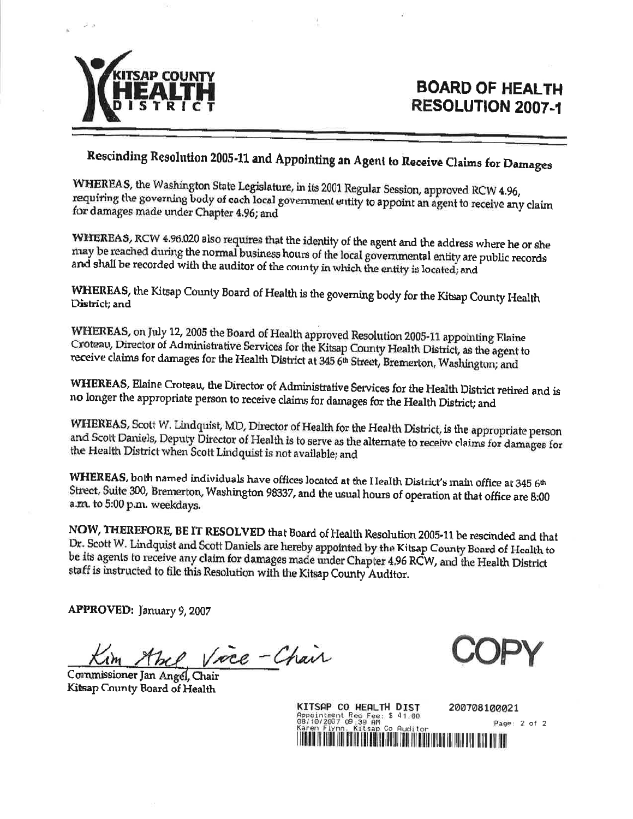

### **BOARD OF HEALTH RESOLUTION 2007-1**

### Rescinding Resolution 2005-11 and Appointing an Agent to Receive Claims for Damages

WHEREAS, the Washington State Legislature, in its 2001 Regular Session, approved RCW 4.96, requiring the governing body of each local government entity to appoint an agent to receive any claim for damages made under Chapter 4.96; and

WHEREAS, RCW 4.96.020 also requires that the identity of the agent and the address where he or she may be reached during the normal business hours of the local governmental entity are public records and shall be recorded with the auditor of the county in which the entity is located; and

WHEREAS, the Kitsap County Board of Health is the governing body for the Kitsap County Health District; and

WHEREAS, on July 12, 2005 the Board of Health approved Resolution 2005-11 appointing Flaine Croteau, Director of Administrative Services for the Kitsap County Health District, as the agent to receive claims for damages for the Health District at 345 6th Street, Bremerton, Washington; and

WHEREAS, Elaine Croteau, the Director of Administrative Services for the Health District retired and is no longer the appropriate person to receive claims for damages for the Health District; and

WHEREAS, Scott W. Lindquist, MD, Director of Health for the Health District, is the appropriate person and Scott Daniels, Deputy Director of Health is to serve as the alternate to receive claims for damages for the Health District when Scott Lindquist is not available; and

WHEREAS, both named individuals have offices located at the Health District's main office at 345 6th Street, Suite 300, Bremerton, Washington 98337, and the usual hours of operation at that office are 8:00 a.m. to 5:00 p.m. weekdays.

NOW, THEREFORE, BE IT RESOLVED that Board of Health Resolution 2005-11 be rescinded and that Dr. Scott W. Lindquist and Scott Daniels are hereby appointed by the Kitsap County Board of Health to be its agents to receive any claim for damages made under Chapter 4.96 RCW, and the Health District staff is instructed to file this Resolution with the Kitsap County Auditor.

APPROVED: January 9, 2007

Vice-Chair

Commissioner Jan Angel, Chair Kitsap County Board of Health

of  $2$ 

| KITSAP CO HEALTH DIST                                                                  | 200708100021 |
|----------------------------------------------------------------------------------------|--------------|
| Appointment Rec Fee: \$ 41.00<br>08/10/2007 09:39 AM<br>Karen Flynn, Kitsap Co Auditor | -2<br>Page:  |
|                                                                                        |              |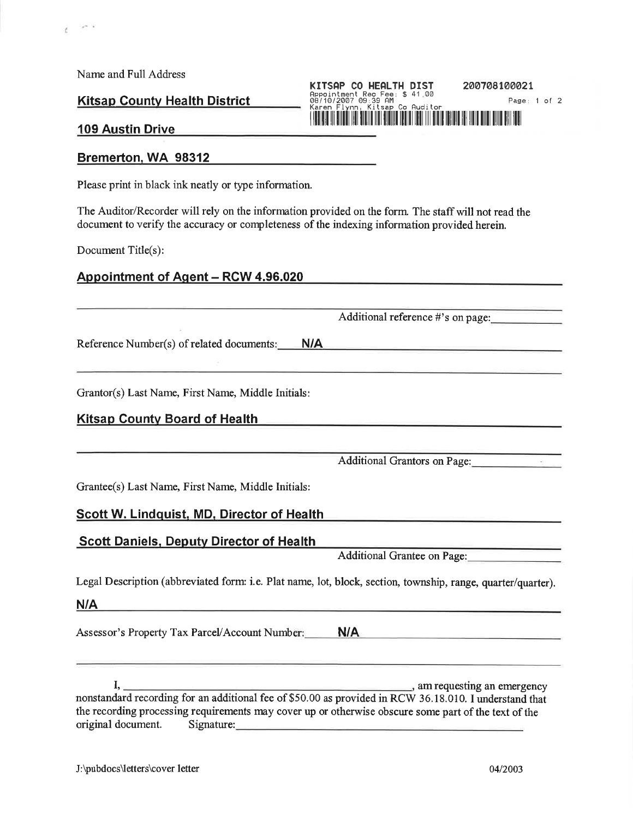Name and Full Address

 $\mathcal{A}^{\infty}$  . In

č

**Kitsap County Health District** 

### Appointment Rec Fee: \$ 41.00<br>08/10/2007 09:39 AM<br>Karen Flynn, Kitsap Co Audito

KITSAP CO HEALTH DIST

200708100021 Page: 1 of 2

#### **109 Austin Drive**

#### Bremerton, WA 98312

Please print in black ink neatly or type information.

The Auditor/Recorder will rely on the information provided on the form. The staff will not read the document to verify the accuracy or completeness of the indexing information provided herein.

Document Title(s):

#### Appointment of Agent – RCW 4.96.020

Additional reference #'s on page:

Reference Number(s) of related documents:  $N/A$ 

Grantor(s) Last Name, First Name, Middle Initials:

### **Kitsap County Board of Health Engineering School School School School School School School School School School School School School School School School School School School School School School School School School Scho**

Additional Grantors on Page:

Grantee(s) Last Name, First Name, Middle Initials:

### Scott W. Lindquist, MD, Director of Health

### **Scott Daniels, Deputy Director of Health**

**Additional Grantee on Page:** 

Legal Description (abbreviated form: i.e. Plat name, lot, block, section, township, range, quarter/quarter).

 $N/A$ 

Assessor's Property Tax Parcel/Account Number: **N/A** 

\_\_, am requesting an emergency L. nonstandard recording for an additional fee of \$50.00 as provided in RCW 36.18.010. I understand that the recording processing requirements may cover up or otherwise obscure some part of the text of the original document. Signature: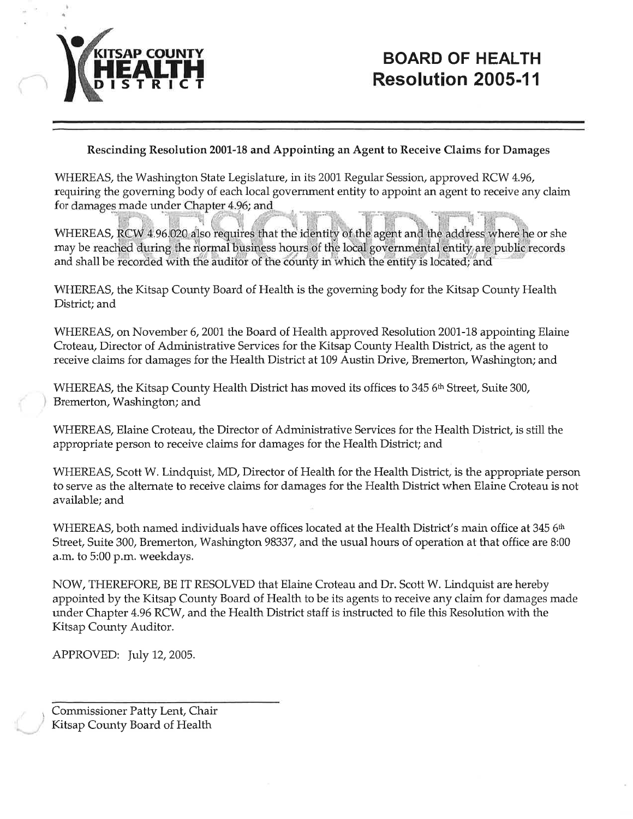

### Rescinding Resolution 2001-18 and Appointing an Agent to Receive Claims for Damages

WHEREAS, the Washington State Legislature, in its 2001 Regular Session, approved RCW 4.96, requiring the governing body of each local government entity to appoint an agent to receive any claim for damages made under Chapter 4.96; and

WHEREAS, RCW 4.96.020 also requires that the identity of the agent and the address where he or she may be reached during the normal business hours of the local governmental entity are public records and shall be recorded with the auditor of the county in which the entity is located; and

WHEREAS, the Kitsap County Board of Health is the governing body for the Kitsap County Health District; and

WHEREAS, on November 6, 2001 the Board of Health approved Resolution 2001-18 appointing Elaine Croteau, Director of Administrative Services for the Kitsap County Health District, as the agent to receive claims for damages for the Health District at 109 Austin Drive, Bremerton, Washington; and

WHEREAS, the Kitsap County Health District has moved its offices to 345 6<sup>th</sup> Street, Suite 300, Bremerton, Washington; and

WHEREAS, Elaine Croteau, the Director of Administrative Services for the Health District, is still the appropriate person to receive claims for damages for the Health District; and

WHEREAS, Scott W. Lindquist, MD, Director of Health for the Health District, is the appropriate person to serve as the alternate to receive claims for damages for the Health District when Elaine Croteau is not available; and

WHEREAS, both named individuals have offices located at the Health District's main office at 345 6th Street, Suite 300, Bremerton, Washington 98337, and the usual hours of operation at that office are 8:00 a.m. to 5:00 p.m. weekdays.

NOW, THEREFORE, BE IT RESOLVED that Elaine Croteau and Dr. Scott W. Lindquist are hereby appointed by the Kitsap County Board of Health to be its agents to receive any claim for damages made under Chapter 4.96 RCW, and the Health District staff is instructed to file this Resolution with the Kitsap County Auditor.

APPROVED: July 12, 2005.

Commissioner Patty Lent, Chair Kitsap County Board of Health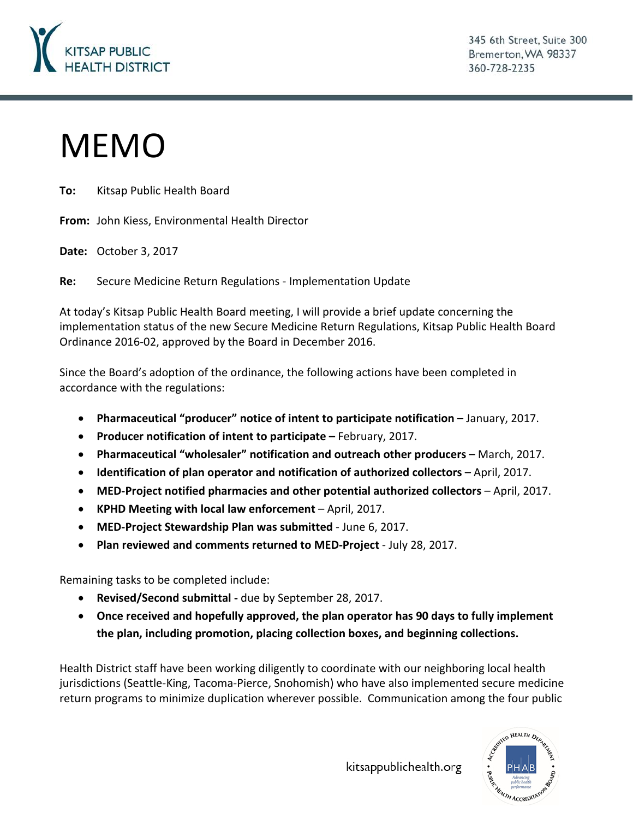

345 6th Street, Suite 300 Bremerton, WA 98337 360-728-2235

# MEMO

**To:** Kitsap Public Health Board

**From:** John Kiess, Environmental Health Director

**Date:** October 3, 2017

**Re:** Secure Medicine Return Regulations - Implementation Update

At today's Kitsap Public Health Board meeting, I will provide a brief update concerning the implementation status of the new Secure Medicine Return Regulations, Kitsap Public Health Board Ordinance 2016-02, approved by the Board in December 2016.

Since the Board's adoption of the ordinance, the following actions have been completed in accordance with the regulations:

- **Pharmaceutical "producer" notice of intent to participate notification**  January, 2017.
- **Producer notification of intent to participate –** February, 2017.
- **Pharmaceutical "wholesaler" notification and outreach other producers** March, 2017.
- **Identification of plan operator and notification of authorized collectors** April, 2017.
- **MED-Project notified pharmacies and other potential authorized collectors** April, 2017.
- **KPHD Meeting with local law enforcement** April, 2017.
- **MED-Project Stewardship Plan was submitted**  June 6, 2017.
- **Plan reviewed and comments returned to MED-Project**  July 28, 2017.

Remaining tasks to be completed include:

- **Revised/Second submittal -** due by September 28, 2017.
- **Once received and hopefully approved, the plan operator has 90 days to fully implement the plan, including promotion, placing collection boxes, and beginning collections.**

Health District staff have been working diligently to coordinate with our neighboring local health jurisdictions (Seattle-King, Tacoma-Pierce, Snohomish) who have also implemented secure medicine return programs to minimize duplication wherever possible. Communication among the four public

kitsappublichealth.org

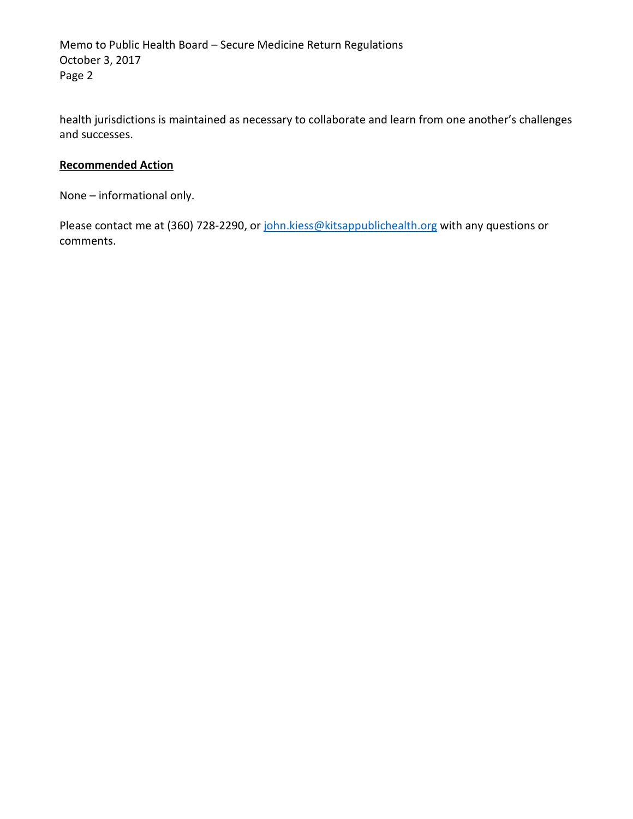Memo to Public Health Board – Secure Medicine Return Regulations October 3, 2017 Page 2

health jurisdictions is maintained as necessary to collaborate and learn from one another's challenges and successes.

### **Recommended Action**

None – informational only.

Please contact me at (360) 728-2290, or [john.kiess@kitsappublichealth.org](mailto:john.kiess@kitsappublichealth.org) with any questions or comments.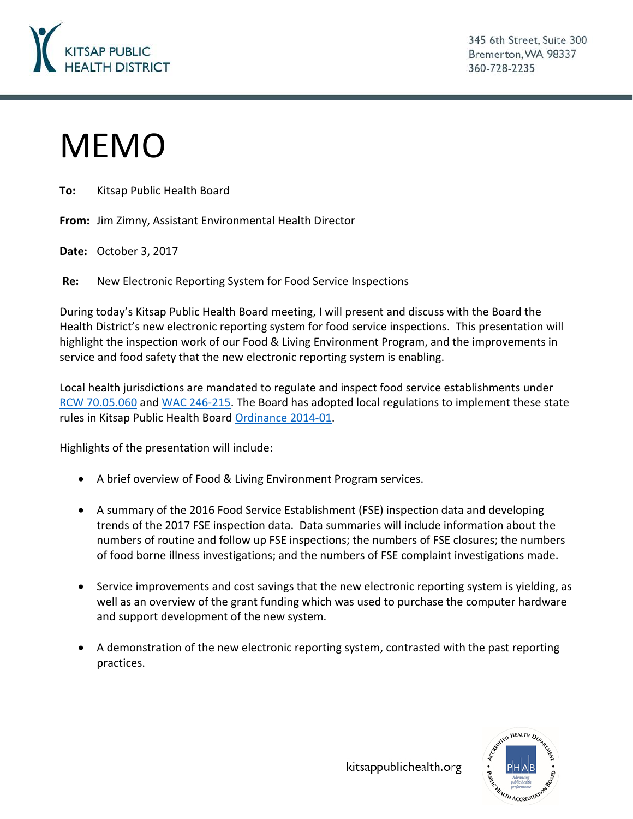

345 6th Street, Suite 300 Bremerton, WA 98337 360-728-2235

# MEMO

**To:** Kitsap Public Health Board

**From:** Jim Zimny, Assistant Environmental Health Director

**Date:** October 3, 2017

**Re:** New Electronic Reporting System for Food Service Inspections

During today's Kitsap Public Health Board meeting, I will present and discuss with the Board the Health District's new electronic reporting system for food service inspections. This presentation will highlight the inspection work of our Food & Living Environment Program, and the improvements in service and food safety that the new electronic reporting system is enabling.

Local health jurisdictions are mandated to regulate and inspect food service establishments under [RCW 70.05.060](http://app.leg.wa.gov/RCW/default.aspx?cite=70.05.060) and [WAC 246-215.](http://apps.leg.wa.gov/wac/default.aspx?cite=246-215) The Board has adopted local regulations to implement these state rules in Kitsap Public Health Board [Ordinance 2014-01.](http://kitsappublichealth.org/environment/files/regulations/FoodRegsLocal.pdf)

Highlights of the presentation will include:

- A brief overview of Food & Living Environment Program services.
- A summary of the 2016 Food Service Establishment (FSE) inspection data and developing trends of the 2017 FSE inspection data. Data summaries will include information about the numbers of routine and follow up FSE inspections; the numbers of FSE closures; the numbers of food borne illness investigations; and the numbers of FSE complaint investigations made.
- Service improvements and cost savings that the new electronic reporting system is yielding, as well as an overview of the grant funding which was used to purchase the computer hardware and support development of the new system.
- A demonstration of the new electronic reporting system, contrasted with the past reporting practices.



kitsappublichealth.org